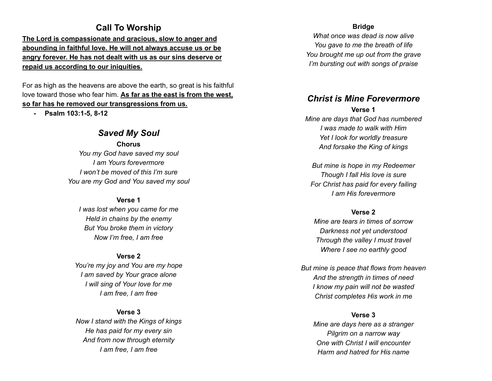# **Call To Worship**

**The Lord is compassionate and gracious, slow to anger and abounding in faithful love. He will not always accuse us or be angry forever. He has not dealt with us as our sins deserve or repaid us according to our iniquities.**

For as high as the heavens are above the earth, so great is his faithful love toward those who fear him. **As far as the east is from the west, so far has he removed our transgressions from us.**

**- Psalm 103:1-5, 8-12**

## *Saved My Soul*

**Chorus** *You my God have saved my soul I am Yours forevermore I won't be moved of this I'm sure You are my God and You saved my soul*

**Verse 1**

*I was lost when you came for me Held in chains by the enemy But You broke them in victory Now I'm free, I am free*

### **Verse 2**

*You're my joy and You are my hope I am saved by Your grace alone I will sing of Your love for me I am free, I am free*

#### **Verse 3**

*Now I stand with the Kings of kings He has paid for my every sin And from now through eternity I am free, I am free*

#### **Bridge**

*What once was dead is now alive You gave to me the breath of life You brought me up out from the grave I'm bursting out with songs of praise*

### *Christ is Mine Forevermore* **Verse 1**

*Mine are days that God has numbered I was made to walk with Him Yet I look for worldly treasure And forsake the King of kings*

*But mine is hope in my Redeemer Though I fall His love is sure For Christ has paid for every failing I am His forevermore*

### **Verse 2**

*Mine are tears in times of sorrow Darkness not yet understood Through the valley I must travel Where I see no earthly good*

*But mine is peace that flows from heaven And the strength in times of need I know my pain will not be wasted Christ completes His work in me*

#### **Verse 3**

*Mine are days here as a stranger Pilgrim on a narrow way One with Christ I will encounter Harm and hatred for His name*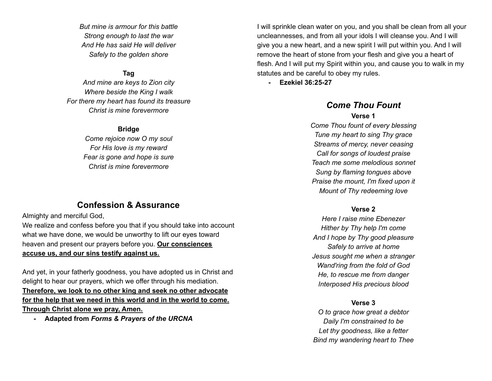*But mine is armour for this battle Strong enough to last the war And He has said He will deliver Safely to the golden shore*

### **Tag**

*And mine are keys to Zion city Where beside the King I walk For there my heart has found its treasure Christ is mine forevermore*

#### **Bridge**

*Come rejoice now O my soul For His love is my reward Fear is gone and hope is sure Christ is mine forevermore*

## **Confession & Assurance**

Almighty and merciful God,

We realize and confess before you that if you should take into account what we have done, we would be unworthy to lift our eyes toward heaven and present our prayers before you. **Our consciences accuse us, and our sins testify against us.**

And yet, in your fatherly goodness, you have adopted us in Christ and delight to hear our prayers, which we offer through his mediation. **Therefore, we look to no other king and seek no other advocate for the help that we need in this world and in the world to come. Through Christ alone we pray, Amen.**

**- Adapted from** *Forms & Prayers of the URCNA*

I will sprinkle clean water on you, and you shall be clean from all your uncleannesses, and from all your idols I will cleanse you. And I will give you a new heart, and a new spirit I will put within you. And I will remove the heart of stone from your flesh and give you a heart of flesh. And I will put my Spirit within you, and cause you to walk in my statutes and be careful to obey my rules.

**- Ezekiel 36:25-27**

## *Come Thou Fount* **Verse 1**

*Come Thou fount of every blessing Tune my heart to sing Thy grace Streams of mercy, never ceasing Call for songs of loudest praise Teach me some melodious sonnet Sung by flaming tongues above Praise the mount, I'm fixed upon it Mount of Thy redeeming love*

### **Verse 2**

*Here I raise mine Ebenezer Hither by Thy help I'm come And I hope by Thy good pleasure Safely to arrive at home Jesus sought me when a stranger Wand'ring from the fold of God He, to rescue me from danger Interposed His precious blood*

### **Verse 3**

*O to grace how great a debtor Daily I'm constrained to be Let thy goodness, like a fetter Bind my wandering heart to Thee*